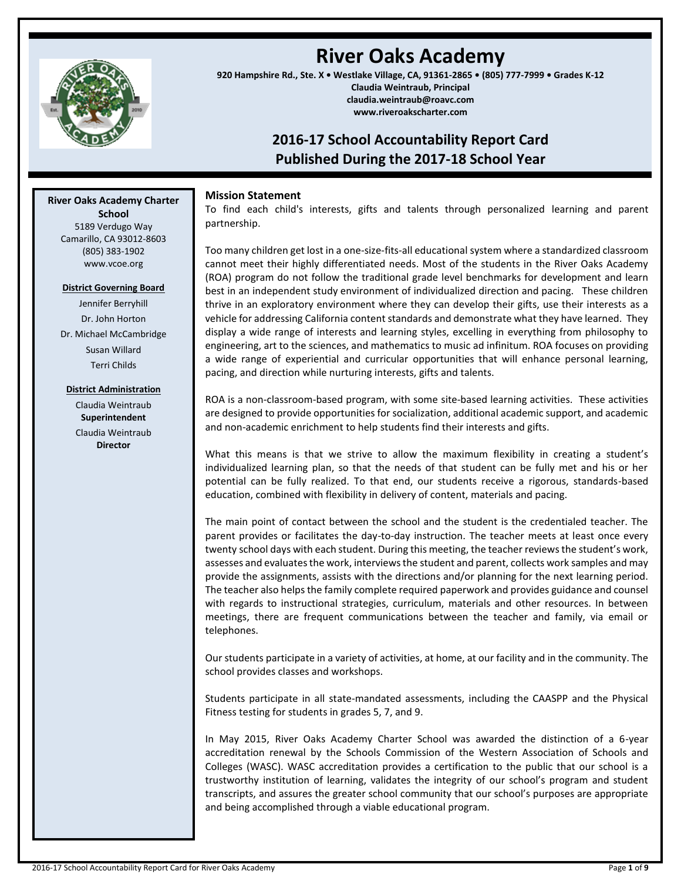

# **River Oaks Academy**

**920 Hampshire Rd., Ste. X • Westlake Village, CA, 91361-2865 • (805) 777-7999 • Grades K-12 Claudia Weintraub, Principal claudia.weintraub@roavc.com www.riveroakscharter.com**

# **2016-17 School Accountability Report Card Published During the 2017-18 School Year**

# **Mission Statement**

To find each child's interests, gifts and talents through personalized learning and parent partnership.

Too many children get lost in a one-size-fits-all educational system where a standardized classroom cannot meet their highly differentiated needs. Most of the students in the River Oaks Academy (ROA) program do not follow the traditional grade level benchmarks for development and learn best in an independent study environment of individualized direction and pacing. These children thrive in an exploratory environment where they can develop their gifts, use their interests as a vehicle for addressing California content standards and demonstrate what they have learned. They display a wide range of interests and learning styles, excelling in everything from philosophy to engineering, art to the sciences, and mathematics to music ad infinitum. ROA focuses on providing a wide range of experiential and curricular opportunities that will enhance personal learning, pacing, and direction while nurturing interests, gifts and talents.

ROA is a non-classroom-based program, with some site-based learning activities. These activities are designed to provide opportunities for socialization, additional academic support, and academic and non-academic enrichment to help students find their interests and gifts.

What this means is that we strive to allow the maximum flexibility in creating a student's individualized learning plan, so that the needs of that student can be fully met and his or her potential can be fully realized. To that end, our students receive a rigorous, standards-based education, combined with flexibility in delivery of content, materials and pacing.

The main point of contact between the school and the student is the credentialed teacher. The parent provides or facilitates the day-to-day instruction. The teacher meets at least once every twenty school days with each student. During this meeting, the teacher reviews the student's work, assesses and evaluates the work, interviews the student and parent, collects work samples and may provide the assignments, assists with the directions and/or planning for the next learning period. The teacher also helps the family complete required paperwork and provides guidance and counsel with regards to instructional strategies, curriculum, materials and other resources. In between meetings, there are frequent communications between the teacher and family, via email or telephones.

Our students participate in a variety of activities, at home, at our facility and in the community. The school provides classes and workshops.

Students participate in all state-mandated assessments, including the CAASPP and the Physical Fitness testing for students in grades 5, 7, and 9.

In May 2015, River Oaks Academy Charter School was awarded the distinction of a 6-year accreditation renewal by the Schools Commission of the Western Association of Schools and Colleges (WASC). WASC accreditation provides a certification to the public that our school is a trustworthy institution of learning, validates the integrity of our school's program and student transcripts, and assures the greater school community that our school's purposes are appropriate and being accomplished through a viable educational program.

**River Oaks Academy Charter School** 5189 Verdugo Way Camarillo, CA 93012-8603 (805) 383-1902 www.vcoe.org

#### **District Governing Board**

Jennifer Berryhill Dr. John Horton Dr. Michael McCambridge Susan Willard Terri Childs

#### **District Administration**

Claudia Weintraub **Superintendent**

Claudia Weintraub **Director**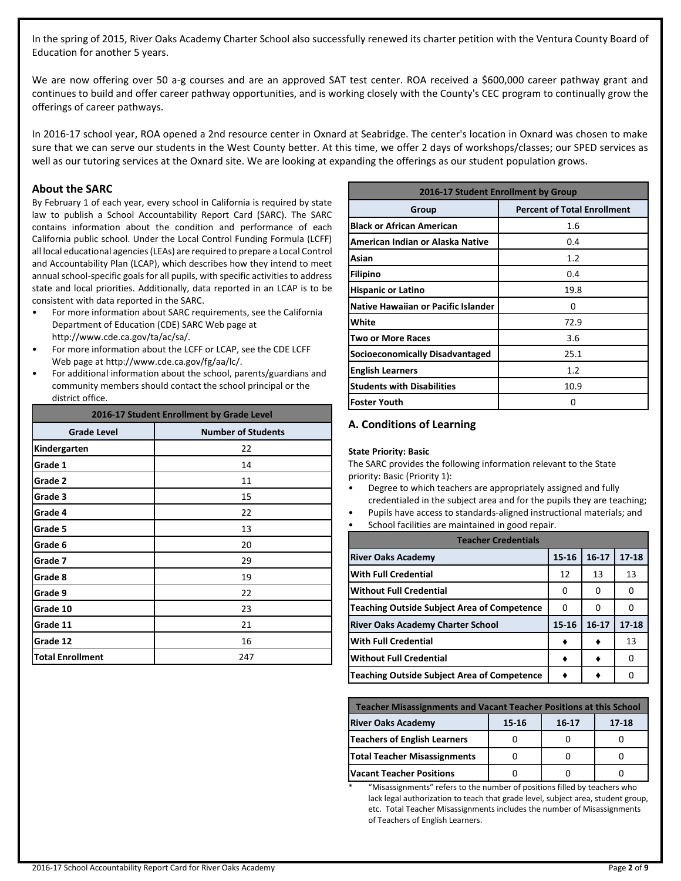In the spring of 2015, River Oaks Academy Charter School also successfully renewed its charter petition with the Ventura County Board of Education for another 5 years.

We are now offering over 50 a-g courses and are an approved SAT test center. ROA received a \$600,000 career pathway grant and continues to build and offer career pathway opportunities, and is working closely with the County's CEC program to continually grow the offerings of career pathways.

In 2016-17 school year, ROA opened a 2nd resource center in Oxnard at Seabridge. The center's location in Oxnard was chosen to make sure that we can serve our students in the West County better. At this time, we offer 2 days of workshops/classes; our SPED services as well as our tutoring services at the Oxnard site. We are looking at expanding the offerings as our student population grows.

### **About the SARC**

By February 1 of each year, every school in California is required by state law to publish a School Accountability Report Card (SARC). The SARC contains information about the condition and performance of each California public school. Under the Local Control Funding Formula (LCFF) all local educational agencies (LEAs) are required to prepare a Local Control and Accountability Plan (LCAP), which describes how they intend to meet annual school-specific goals for all pupils, with specific activities to address state and local priorities. Additionally, data reported in an LCAP is to be consistent with data reported in the SARC.

- For more information about SARC requirements, see the California Department of Education (CDE) SARC Web page at http://www.cde.ca.gov/ta/ac/sa/.
- For more information about the LCFF or LCAP, see the CDE LCFF Web page at http://www.cde.ca.gov/fg/aa/lc/.
- For additional information about the school, parents/guardians and community members should contact the school principal or the district office.

| 2016-17 Student Enrollment by Grade Level |                           |  |  |
|-------------------------------------------|---------------------------|--|--|
| <b>Grade Level</b>                        | <b>Number of Students</b> |  |  |
| Kindergarten                              | 22                        |  |  |
| Grade 1                                   | 14                        |  |  |
| Grade 2                                   | 11                        |  |  |
| Grade 3                                   | 15                        |  |  |
| Grade 4                                   | 22                        |  |  |
| Grade 5                                   | 13                        |  |  |
| Grade 6                                   | 20                        |  |  |
| Grade 7                                   | 29                        |  |  |
| Grade 8                                   | 19                        |  |  |
| Grade 9                                   | 22                        |  |  |
| Grade 10                                  | 23                        |  |  |
| Grade 11                                  | 21                        |  |  |
| Grade 12                                  | 16                        |  |  |
| <b>Total Enrollment</b>                   | 247                       |  |  |

| 2016-17 Student Enrollment by Group |                                    |  |  |  |
|-------------------------------------|------------------------------------|--|--|--|
| Group                               | <b>Percent of Total Enrollment</b> |  |  |  |
| <b>Black or African American</b>    | 1.6                                |  |  |  |
| American Indian or Alaska Native    | 0.4                                |  |  |  |
| Asian                               | 1.2                                |  |  |  |
| <b>Filipino</b>                     | 0.4                                |  |  |  |
| <b>Hispanic or Latino</b>           | 19.8                               |  |  |  |
| Native Hawaiian or Pacific Islander | n                                  |  |  |  |
| White                               | 72.9                               |  |  |  |
| <b>Two or More Races</b>            | 3.6                                |  |  |  |
| Socioeconomically Disadvantaged     | 25.1                               |  |  |  |
| <b>English Learners</b>             | 1.2                                |  |  |  |
| <b>Students with Disabilities</b>   | 10.9                               |  |  |  |
| <b>Foster Youth</b>                 | Ω                                  |  |  |  |

# **A. Conditions of Learning**

#### **State Priority: Basic**

The SARC provides the following information relevant to the State priority: Basic (Priority 1):

- Degree to which teachers are appropriately assigned and fully credentialed in the subject area and for the pupils they are teaching;
- Pupils have access to standards-aligned instructional materials; and
- School facilities are maintained in good repair.

| <b>Teacher Credentials</b>                         |       |           |           |  |  |  |
|----------------------------------------------------|-------|-----------|-----------|--|--|--|
| <b>River Oaks Academy</b>                          | 15-16 | $16 - 17$ | $17 - 18$ |  |  |  |
| <b>With Full Credential</b>                        | 12    | 13        | 13        |  |  |  |
| <b>Without Full Credential</b>                     | O     | O         | 0         |  |  |  |
| <b>Teaching Outside Subject Area of Competence</b> | 0     | O         | O         |  |  |  |
| <b>River Oaks Academy Charter School</b>           | 15-16 | $16 - 17$ | $17 - 18$ |  |  |  |
| <b>With Full Credential</b>                        |       |           | 13        |  |  |  |
| <b>Without Full Credential</b>                     |       |           | O         |  |  |  |
| <b>Teaching Outside Subject Area of Competence</b> |       |           | O         |  |  |  |

| <b>Teacher Misassignments and Vacant Teacher Positions at this School</b> |  |  |  |  |  |  |
|---------------------------------------------------------------------------|--|--|--|--|--|--|
| <b>River Oaks Academy</b><br>$17 - 18$<br>15-16<br>$16 - 17$              |  |  |  |  |  |  |
| Teachers of English Learners                                              |  |  |  |  |  |  |
| <b>Total Teacher Misassignments</b>                                       |  |  |  |  |  |  |
| <b>Vacant Teacher Positions</b>                                           |  |  |  |  |  |  |

"Misassignments" refers to the number of positions filled by teachers who lack legal authorization to teach that grade level, subject area, student group, etc. Total Teacher Misassignments includes the number of Misassignments of Teachers of English Learners.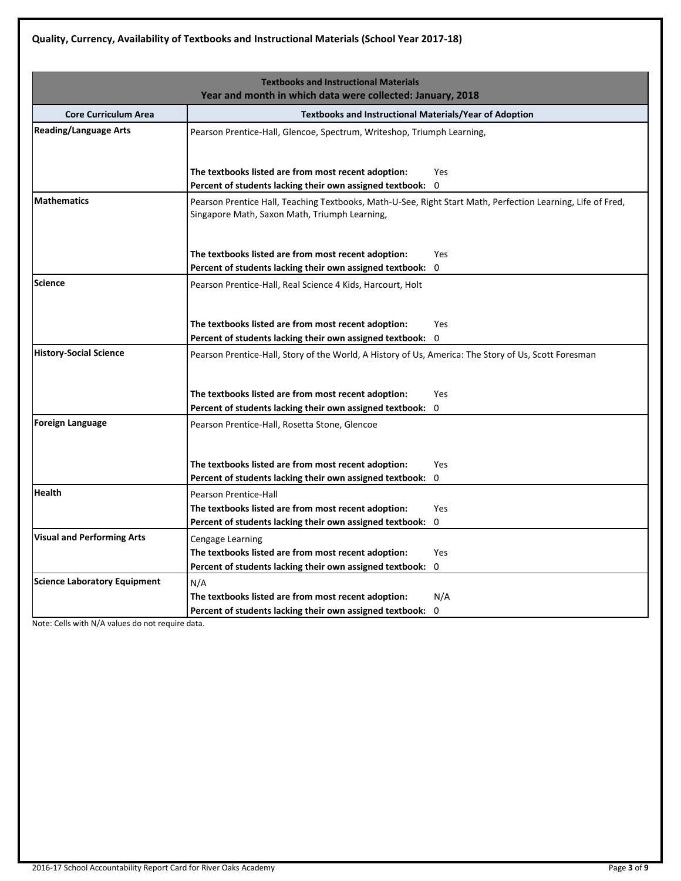|                                     | <b>Textbooks and Instructional Materials</b><br>Year and month in which data were collected: January, 2018                                                   |
|-------------------------------------|--------------------------------------------------------------------------------------------------------------------------------------------------------------|
| <b>Core Curriculum Area</b>         |                                                                                                                                                              |
| <b>Reading/Language Arts</b>        | <b>Textbooks and Instructional Materials/Year of Adoption</b>                                                                                                |
|                                     | Pearson Prentice-Hall, Glencoe, Spectrum, Writeshop, Triumph Learning,                                                                                       |
|                                     | The textbooks listed are from most recent adoption:<br>Yes                                                                                                   |
|                                     | Percent of students lacking their own assigned textbook:<br>0                                                                                                |
| <b>Mathematics</b>                  | Pearson Prentice Hall, Teaching Textbooks, Math-U-See, Right Start Math, Perfection Learning, Life of Fred,<br>Singapore Math, Saxon Math, Triumph Learning, |
|                                     | The textbooks listed are from most recent adoption:<br>Yes.                                                                                                  |
|                                     | Percent of students lacking their own assigned textbook:<br>0                                                                                                |
| <b>Science</b>                      | Pearson Prentice-Hall, Real Science 4 Kids, Harcourt, Holt                                                                                                   |
|                                     |                                                                                                                                                              |
|                                     | The textbooks listed are from most recent adoption:<br>Yes                                                                                                   |
|                                     | $\mathbf 0$<br>Percent of students lacking their own assigned textbook:                                                                                      |
| <b>History-Social Science</b>       | Pearson Prentice-Hall, Story of the World, A History of Us, America: The Story of Us, Scott Foresman                                                         |
|                                     |                                                                                                                                                              |
|                                     | The textbooks listed are from most recent adoption:<br>Yes                                                                                                   |
|                                     | Percent of students lacking their own assigned textbook:<br>0                                                                                                |
| <b>Foreign Language</b>             | Pearson Prentice-Hall, Rosetta Stone, Glencoe                                                                                                                |
|                                     |                                                                                                                                                              |
|                                     |                                                                                                                                                              |
|                                     | The textbooks listed are from most recent adoption:<br><b>Yes</b>                                                                                            |
|                                     | 0<br>Percent of students lacking their own assigned textbook:                                                                                                |
| <b>Health</b>                       | Pearson Prentice-Hall                                                                                                                                        |
|                                     | The textbooks listed are from most recent adoption:<br>Yes                                                                                                   |
|                                     | Percent of students lacking their own assigned textbook:<br>0                                                                                                |
| <b>Visual and Performing Arts</b>   | <b>Cengage Learning</b>                                                                                                                                      |
|                                     | The textbooks listed are from most recent adoption:<br><b>Yes</b>                                                                                            |
|                                     | 0<br>Percent of students lacking their own assigned textbook:                                                                                                |
| <b>Science Laboratory Equipment</b> | N/A                                                                                                                                                          |
|                                     | N/A<br>The textbooks listed are from most recent adoption:                                                                                                   |
|                                     | Percent of students lacking their own assigned textbook:<br>$\mathbf 0$                                                                                      |

Note: Cells with N/A values do not require data.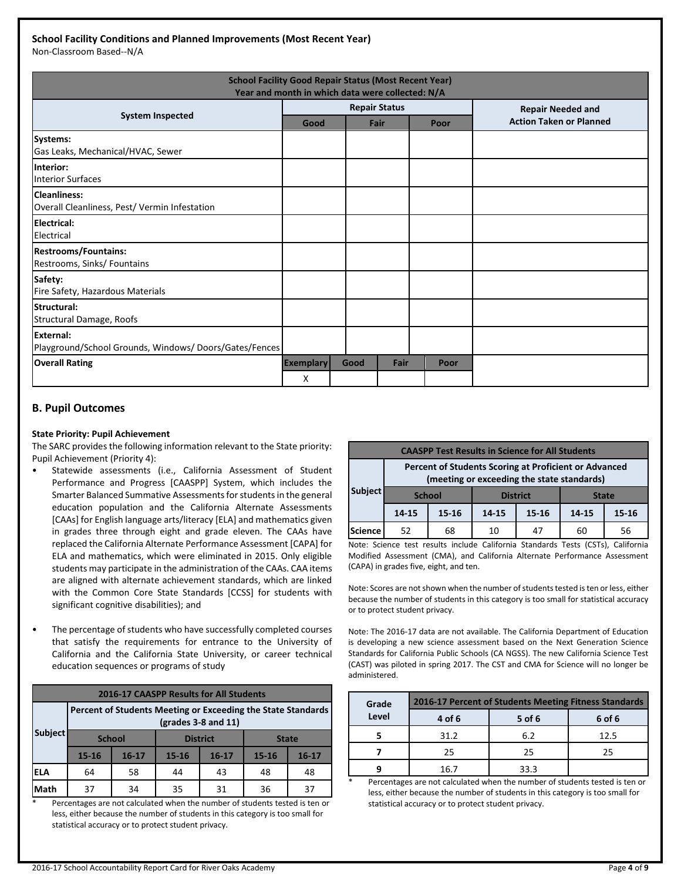# **School Facility Conditions and Planned Improvements (Most Recent Year)**

Non-Classroom Based--N/A

| <b>School Facility Good Repair Status (Most Recent Year)</b><br>Year and month in which data were collected: N/A |                  |      |                      |      |                                |  |
|------------------------------------------------------------------------------------------------------------------|------------------|------|----------------------|------|--------------------------------|--|
| <b>System Inspected</b>                                                                                          |                  |      | <b>Repair Status</b> |      | <b>Repair Needed and</b>       |  |
|                                                                                                                  | Good             |      | Fair                 | Poor | <b>Action Taken or Planned</b> |  |
| Systems:<br>Gas Leaks, Mechanical/HVAC, Sewer                                                                    |                  |      |                      |      |                                |  |
| <b>Interior:</b><br><b>Interior Surfaces</b>                                                                     |                  |      |                      |      |                                |  |
| <b>Cleanliness:</b><br>Overall Cleanliness, Pest/ Vermin Infestation                                             |                  |      |                      |      |                                |  |
| Electrical:<br>Electrical                                                                                        |                  |      |                      |      |                                |  |
| <b>Restrooms/Fountains:</b><br>Restrooms, Sinks/ Fountains                                                       |                  |      |                      |      |                                |  |
| Safety:<br>Fire Safety, Hazardous Materials                                                                      |                  |      |                      |      |                                |  |
| Structural:<br>Structural Damage, Roofs                                                                          |                  |      |                      |      |                                |  |
| External:<br>Playground/School Grounds, Windows/Doors/Gates/Fences                                               |                  |      |                      |      |                                |  |
| <b>Overall Rating</b>                                                                                            | <b>Exemplary</b> | Good | Fair                 | Poor |                                |  |
|                                                                                                                  | X                |      |                      |      |                                |  |

## **B. Pupil Outcomes**

#### **State Priority: Pupil Achievement**

The SARC provides the following information relevant to the State priority: Pupil Achievement (Priority 4):

- Statewide assessments (i.e., California Assessment of Student Performance and Progress [CAASPP] System, which includes the Smarter Balanced Summative Assessments for students in the general education population and the California Alternate Assessments [CAAs] for English language arts/literacy [ELA] and mathematics given in grades three through eight and grade eleven. The CAAs have replaced the California Alternate Performance Assessment [CAPA] for ELA and mathematics, which were eliminated in 2015. Only eligible students may participate in the administration of the CAAs. CAA items are aligned with alternate achievement standards, which are linked with the Common Core State Standards [CCSS] for students with significant cognitive disabilities); and
- The percentage of students who have successfully completed courses that satisfy the requirements for entrance to the University of California and the California State University, or career technical education sequences or programs of study

| <b>2016-17 CAASPP Results for All Students</b> |                                                                                       |           |                 |           |              |           |  |
|------------------------------------------------|---------------------------------------------------------------------------------------|-----------|-----------------|-----------|--------------|-----------|--|
|                                                | Percent of Students Meeting or Exceeding the State Standards<br>$(grades 3-8 and 11)$ |           |                 |           |              |           |  |
| <b>Subject</b>                                 | <b>School</b>                                                                         |           | <b>District</b> |           | <b>State</b> |           |  |
|                                                | 15-16                                                                                 | $16 - 17$ | $15 - 16$       | $16 - 17$ | $15 - 16$    | $16 - 17$ |  |
| ELA                                            | 64                                                                                    | 58        | 44              | 43        | 48           | 48        |  |
| Math                                           | 37                                                                                    | 34        | 35              | 31        | 36           | 37        |  |

Percentages are not calculated when the number of students tested is ten or less, either because the number of students in this category is too small for statistical accuracy or to protect student privacy.

| <b>CAASPP Test Results in Science for All Students</b> |                                                                                                     |           |                    |    |       |       |  |
|--------------------------------------------------------|-----------------------------------------------------------------------------------------------------|-----------|--------------------|----|-------|-------|--|
|                                                        | Percent of Students Scoring at Proficient or Advanced<br>(meeting or exceeding the state standards) |           |                    |    |       |       |  |
| <b>Subject</b>                                         | <b>School</b><br><b>District</b><br><b>State</b>                                                    |           |                    |    |       |       |  |
|                                                        | 14-15                                                                                               | $15 - 16$ | 14-15<br>$15 - 16$ |    | 14-15 | 15-16 |  |
| <b>Science</b>                                         | 52                                                                                                  | 68        | 10                 | 47 | 60    | 56    |  |

Note: Science test results include California Standards Tests (CSTs), California Modified Assessment (CMA), and California Alternate Performance Assessment (CAPA) in grades five, eight, and ten.

Note: Scores are not shown when the number of students tested is ten or less, either because the number of students in this category is too small for statistical accuracy or to protect student privacy.

Note: The 2016-17 data are not available. The California Department of Education is developing a new science assessment based on the Next Generation Science Standards for California Public Schools (CA NGSS). The new California Science Test (CAST) was piloted in spring 2017. The CST and CMA for Science will no longer be administered.

| Grade | 2016-17 Percent of Students Meeting Fitness Standards |        |        |  |  |  |
|-------|-------------------------------------------------------|--------|--------|--|--|--|
| Level | 4 of 6                                                | 5 of 6 | 6 of 6 |  |  |  |
|       | 31.2                                                  | 6.2    | 12.5   |  |  |  |
|       | 25                                                    | 25     | 25     |  |  |  |
|       | 16 7                                                  | 33.3   |        |  |  |  |

Percentages are not calculated when the number of students tested is ten or less, either because the number of students in this category is too small for statistical accuracy or to protect student privacy.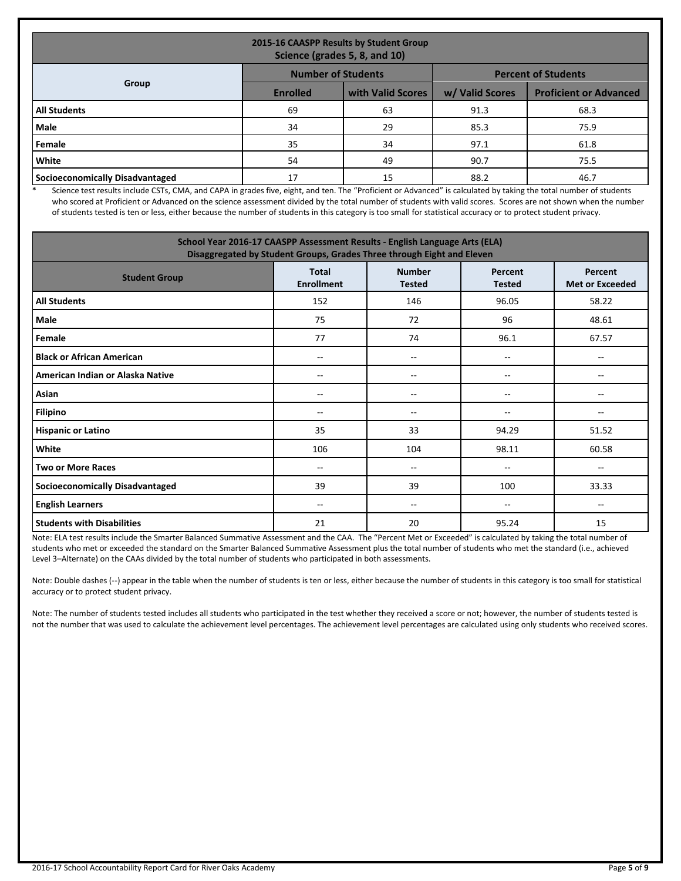| 2015-16 CAASPP Results by Student Group<br>Science (grades 5, 8, and 10) |                            |                   |                 |                               |  |  |  |
|--------------------------------------------------------------------------|----------------------------|-------------------|-----------------|-------------------------------|--|--|--|
|                                                                          | <b>Percent of Students</b> |                   |                 |                               |  |  |  |
| Group                                                                    | <b>Enrolled</b>            | with Valid Scores | w/ Valid Scores | <b>Proficient or Advanced</b> |  |  |  |
| <b>All Students</b>                                                      | 69                         | 63                | 91.3            | 68.3                          |  |  |  |
| <b>Male</b>                                                              | 34                         | 29                | 85.3            | 75.9                          |  |  |  |
| Female                                                                   | 35                         | 34                | 97.1            | 61.8                          |  |  |  |
| <b>White</b>                                                             | 54                         | 49                | 90.7            | 75.5                          |  |  |  |
| Socioeconomically Disadvantaged                                          | 17                         | 15                | 88.2            | 46.7                          |  |  |  |

\* Science test results include CSTs, CMA, and CAPA in grades five, eight, and ten. The "Proficient or Advanced" is calculated by taking the total number of students who scored at Proficient or Advanced on the science assessment divided by the total number of students with valid scores. Scores are not shown when the number of students tested is ten or less, either because the number of students in this category is too small for statistical accuracy or to protect student privacy.

| School Year 2016-17 CAASPP Assessment Results - English Language Arts (ELA)<br>Disaggregated by Student Groups, Grades Three through Eight and Eleven |                                   |                                       |                          |                                   |  |  |
|-------------------------------------------------------------------------------------------------------------------------------------------------------|-----------------------------------|---------------------------------------|--------------------------|-----------------------------------|--|--|
| <b>Student Group</b>                                                                                                                                  | <b>Total</b><br><b>Enrollment</b> | <b>Number</b><br><b>Tested</b>        | Percent<br><b>Tested</b> | Percent<br><b>Met or Exceeded</b> |  |  |
| <b>All Students</b>                                                                                                                                   | 152                               | 146                                   | 96.05                    | 58.22                             |  |  |
| Male                                                                                                                                                  | 75                                | 72                                    | 96                       | 48.61                             |  |  |
| Female                                                                                                                                                | 77                                | 74                                    | 96.1                     | 67.57                             |  |  |
| <b>Black or African American</b>                                                                                                                      | $-$                               | $- -$                                 | --                       |                                   |  |  |
| American Indian or Alaska Native                                                                                                                      | --                                | --                                    | --                       |                                   |  |  |
| Asian                                                                                                                                                 | $-$                               | $\overline{\phantom{a}}$              | --                       | $-$                               |  |  |
| <b>Filipino</b>                                                                                                                                       | $- -$                             | $- -$                                 | --                       |                                   |  |  |
| <b>Hispanic or Latino</b>                                                                                                                             | 35                                | 33                                    | 94.29                    | 51.52                             |  |  |
| White                                                                                                                                                 | 106                               | 104                                   | 98.11                    | 60.58                             |  |  |
| <b>Two or More Races</b>                                                                                                                              | $-$                               | $\hspace{0.05cm}$ – $\hspace{0.05cm}$ | --                       | --                                |  |  |
| <b>Socioeconomically Disadvantaged</b>                                                                                                                | 39                                | 39                                    | 100                      | 33.33                             |  |  |
| <b>English Learners</b>                                                                                                                               | $-$                               | $\overline{\phantom{m}}$              | --                       | --                                |  |  |
| <b>Students with Disabilities</b>                                                                                                                     | 21                                | 20                                    | 95.24                    | 15                                |  |  |

Note: ELA test results include the Smarter Balanced Summative Assessment and the CAA. The "Percent Met or Exceeded" is calculated by taking the total number of students who met or exceeded the standard on the Smarter Balanced Summative Assessment plus the total number of students who met the standard (i.e., achieved Level 3–Alternate) on the CAAs divided by the total number of students who participated in both assessments.

Note: Double dashes (--) appear in the table when the number of students is ten or less, either because the number of students in this category is too small for statistical accuracy or to protect student privacy.

Note: The number of students tested includes all students who participated in the test whether they received a score or not; however, the number of students tested is not the number that was used to calculate the achievement level percentages. The achievement level percentages are calculated using only students who received scores.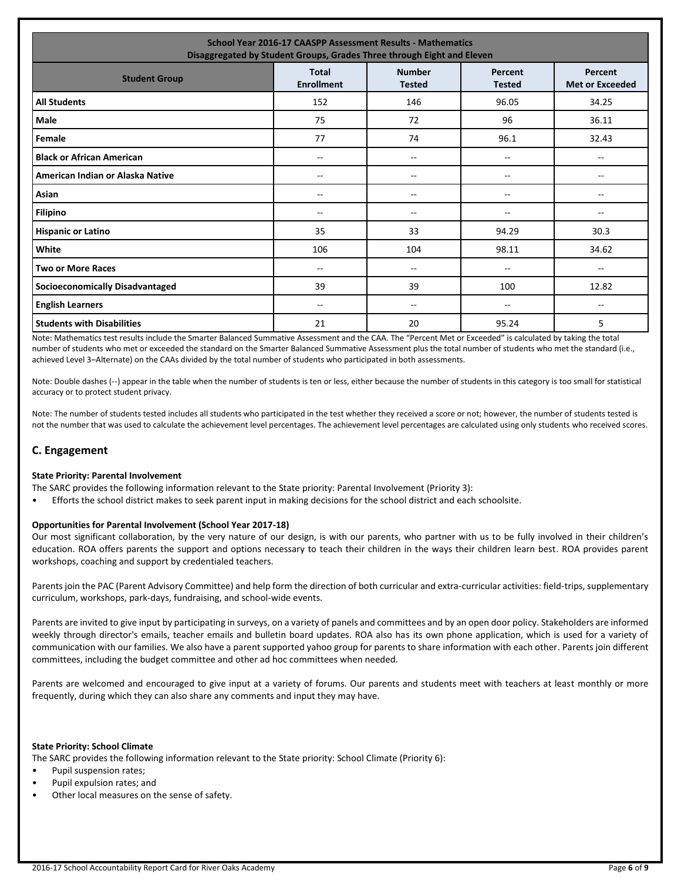| <b>School Year 2016-17 CAASPP Assessment Results - Mathematics</b><br>Disaggregated by Student Groups, Grades Three through Eight and Eleven |                                   |                                |                          |                                   |  |  |
|----------------------------------------------------------------------------------------------------------------------------------------------|-----------------------------------|--------------------------------|--------------------------|-----------------------------------|--|--|
| <b>Student Group</b>                                                                                                                         | <b>Total</b><br><b>Enrollment</b> | <b>Number</b><br><b>Tested</b> | Percent<br><b>Tested</b> | Percent<br><b>Met or Exceeded</b> |  |  |
| <b>All Students</b>                                                                                                                          | 152                               | 146                            | 96.05                    | 34.25                             |  |  |
| <b>Male</b>                                                                                                                                  | 75                                | 72                             | 96                       | 36.11                             |  |  |
| Female                                                                                                                                       | 77                                | 74                             | 96.1                     | 32.43                             |  |  |
| <b>Black or African American</b>                                                                                                             | --                                | --                             | --                       | $- -$                             |  |  |
| American Indian or Alaska Native                                                                                                             | --                                | --                             | --                       | --                                |  |  |
| Asian                                                                                                                                        | $- -$                             | $- -$                          | --                       | $- -$                             |  |  |
| <b>Filipino</b>                                                                                                                              | $-$                               | $-$                            | $-$                      | $-$                               |  |  |
| <b>Hispanic or Latino</b>                                                                                                                    | 35                                | 33                             | 94.29                    | 30.3                              |  |  |
| White                                                                                                                                        | 106                               | 104                            | 98.11                    | 34.62                             |  |  |
| <b>Two or More Races</b>                                                                                                                     | --                                | --                             | --                       | $\overline{\phantom{a}}$          |  |  |
| <b>Socioeconomically Disadvantaged</b>                                                                                                       | 39                                | 39                             | 100                      | 12.82                             |  |  |
| <b>English Learners</b>                                                                                                                      | $- -$                             | --                             | --                       | $\overline{\phantom{a}}$          |  |  |
| <b>Students with Disabilities</b>                                                                                                            | 21                                | 20                             | 95.24                    | 5                                 |  |  |

Note: Mathematics test results include the Smarter Balanced Summative Assessment and the CAA. The "Percent Met or Exceeded" is calculated by taking the total number of students who met or exceeded the standard on the Smarter Balanced Summative Assessment plus the total number of students who met the standard (i.e., achieved Level 3–Alternate) on the CAAs divided by the total number of students who participated in both assessments.

Note: Double dashes (--) appear in the table when the number of students is ten or less, either because the number of students in this category is too small for statistical accuracy or to protect student privacy.

Note: The number of students tested includes all students who participated in the test whether they received a score or not; however, the number of students tested is not the number that was used to calculate the achievement level percentages. The achievement level percentages are calculated using only students who received scores.

#### **C. Engagement**

#### **State Priority: Parental Involvement**

The SARC provides the following information relevant to the State priority: Parental Involvement (Priority 3):

• Efforts the school district makes to seek parent input in making decisions for the school district and each schoolsite.

#### **Opportunities for Parental Involvement (School Year 2017-18)**

Our most significant collaboration, by the very nature of our design, is with our parents, who partner with us to be fully involved in their children's education. ROA offers parents the support and options necessary to teach their children in the ways their children learn best. ROA provides parent workshops, coaching and support by credentialed teachers.

Parents join the PAC (Parent Advisory Committee) and help form the direction of both curricular and extra-curricular activities: field-trips, supplementary curriculum, workshops, park-days, fundraising, and school-wide events.

Parents are invited to give input by participating in surveys, on a variety of panels and committees and by an open door policy. Stakeholders are informed weekly through director's emails, teacher emails and bulletin board updates. ROA also has its own phone application, which is used for a variety of communication with our families. We also have a parent supported yahoo group for parents to share information with each other. Parents join different committees, including the budget committee and other ad hoc committees when needed.

Parents are welcomed and encouraged to give input at a variety of forums. Our parents and students meet with teachers at least monthly or more frequently, during which they can also share any comments and input they may have.

#### **State Priority: School Climate**

The SARC provides the following information relevant to the State priority: School Climate (Priority 6):

- Pupil suspension rates;
- Pupil expulsion rates; and
- Other local measures on the sense of safety.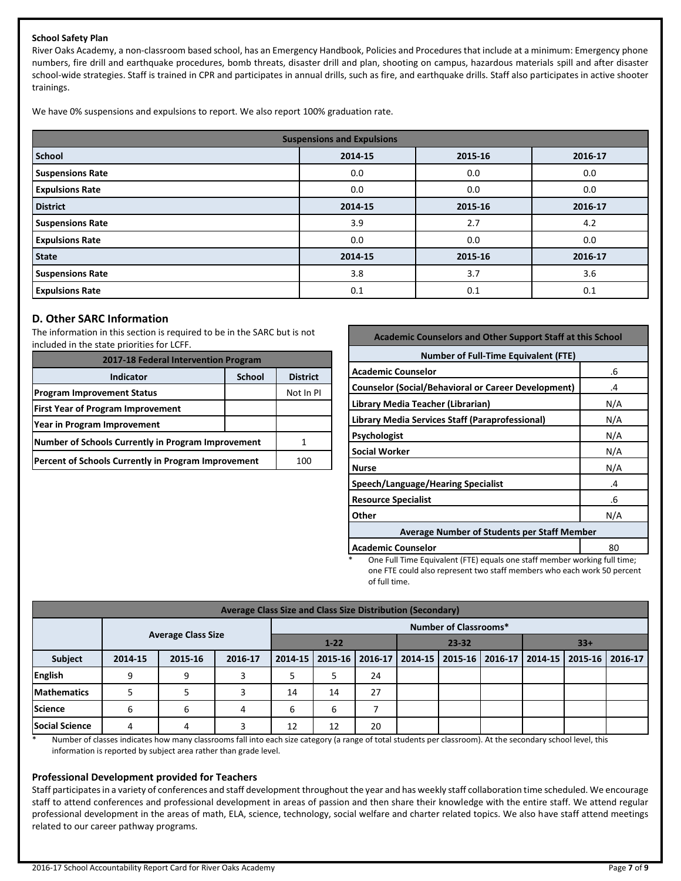#### **School Safety Plan**

River Oaks Academy, a non-classroom based school, has an Emergency Handbook, Policies and Procedures that include at a minimum: Emergency phone numbers, fire drill and earthquake procedures, bomb threats, disaster drill and plan, shooting on campus, hazardous materials spill and after disaster school-wide strategies. Staff is trained in CPR and participates in annual drills, such as fire, and earthquake drills. Staff also participates in active shooter trainings.

We have 0% suspensions and expulsions to report. We also report 100% graduation rate.

| <b>Suspensions and Expulsions</b> |         |         |         |  |  |  |
|-----------------------------------|---------|---------|---------|--|--|--|
| <b>School</b>                     | 2014-15 | 2015-16 | 2016-17 |  |  |  |
| <b>Suspensions Rate</b>           | 0.0     | 0.0     | 0.0     |  |  |  |
| <b>Expulsions Rate</b>            | 0.0     | 0.0     | 0.0     |  |  |  |
| <b>District</b>                   | 2014-15 | 2015-16 | 2016-17 |  |  |  |
| <b>Suspensions Rate</b>           | 3.9     | 2.7     | 4.2     |  |  |  |
| <b>Expulsions Rate</b>            | 0.0     | 0.0     | 0.0     |  |  |  |
| <b>State</b>                      | 2014-15 | 2015-16 | 2016-17 |  |  |  |
| <b>Suspensions Rate</b>           | 3.8     | 3.7     | 3.6     |  |  |  |
| <b>Expulsions Rate</b>            | 0.1     | 0.1     | 0.1     |  |  |  |

## **D. Other SARC Information**

The information in this section is required to be in the SARC but is not included in the state priorities for LCFF.

| 2017-18 Federal Intervention Program                |                 |           |  |  |
|-----------------------------------------------------|-----------------|-----------|--|--|
| Indicator                                           | <b>District</b> |           |  |  |
| <b>Program Improvement Status</b>                   |                 | Not In PI |  |  |
| <b>First Year of Program Improvement</b>            |                 |           |  |  |
| Year in Program Improvement                         |                 |           |  |  |
| Number of Schools Currently in Program Improvement  |                 |           |  |  |
| Percent of Schools Currently in Program Improvement | 100             |           |  |  |

| <b>Academic Counselors and Other Support Staff at this School</b> |              |  |  |  |
|-------------------------------------------------------------------|--------------|--|--|--|
| <b>Number of Full-Time Equivalent (FTE)</b>                       |              |  |  |  |
| <b>Academic Counselor</b>                                         | .6           |  |  |  |
| <b>Counselor (Social/Behavioral or Career Development)</b>        | .4           |  |  |  |
| Library Media Teacher (Librarian)                                 | N/A          |  |  |  |
| Library Media Services Staff (Paraprofessional)                   | N/A          |  |  |  |
| Psychologist                                                      | N/A          |  |  |  |
| <b>Social Worker</b>                                              | N/A          |  |  |  |
| <b>Nurse</b>                                                      | N/A          |  |  |  |
| Speech/Language/Hearing Specialist                                | $\mathbf{A}$ |  |  |  |
| <b>Resource Specialist</b>                                        | .6           |  |  |  |
| Other                                                             | N/A          |  |  |  |
| <b>Average Number of Students per Staff Member</b>                |              |  |  |  |
| <b>Academic Counselor</b>                                         | 80           |  |  |  |

One Full Time Equivalent (FTE) equals one staff member working full time; one FTE could also represent two staff members who each work 50 percent of full time.

| Average Class Size and Class Size Distribution (Secondary) |         |                           |         |                                |                   |         |  |  |                                 |                 |  |
|------------------------------------------------------------|---------|---------------------------|---------|--------------------------------|-------------------|---------|--|--|---------------------------------|-----------------|--|
| <b>Number of Classrooms*</b>                               |         |                           |         |                                |                   |         |  |  |                                 |                 |  |
|                                                            |         | <b>Average Class Size</b> |         | $33+$<br>$1 - 22$<br>$23 - 32$ |                   |         |  |  |                                 |                 |  |
| Subject                                                    | 2014-15 | 2015-16                   | 2016-17 |                                | 2014-15   2015-16 | 2016-17 |  |  | 2014-15 2015-16 2016-17 2014-15 | 2015-16 2016-17 |  |
| <b>English</b>                                             | a       | 9                         |         |                                |                   | 24      |  |  |                                 |                 |  |
| <b>Mathematics</b>                                         |         |                           |         | 14                             | 14                | 27      |  |  |                                 |                 |  |
| <b>Science</b>                                             | h       | 6                         | 4       | 6                              | 6                 |         |  |  |                                 |                 |  |
| <b>Social Science</b>                                      | 4       |                           | ∍       | 12                             | 12                | 20      |  |  |                                 |                 |  |

\* Number of classes indicates how many classrooms fall into each size category (a range of total students per classroom). At the secondary school level, this information is reported by subject area rather than grade level.

#### **Professional Development provided for Teachers**

Staff participates in a variety of conferences and staff development throughout the year and has weekly staff collaboration time scheduled. We encourage staff to attend conferences and professional development in areas of passion and then share their knowledge with the entire staff. We attend regular professional development in the areas of math, ELA, science, technology, social welfare and charter related topics. We also have staff attend meetings related to our career pathway programs.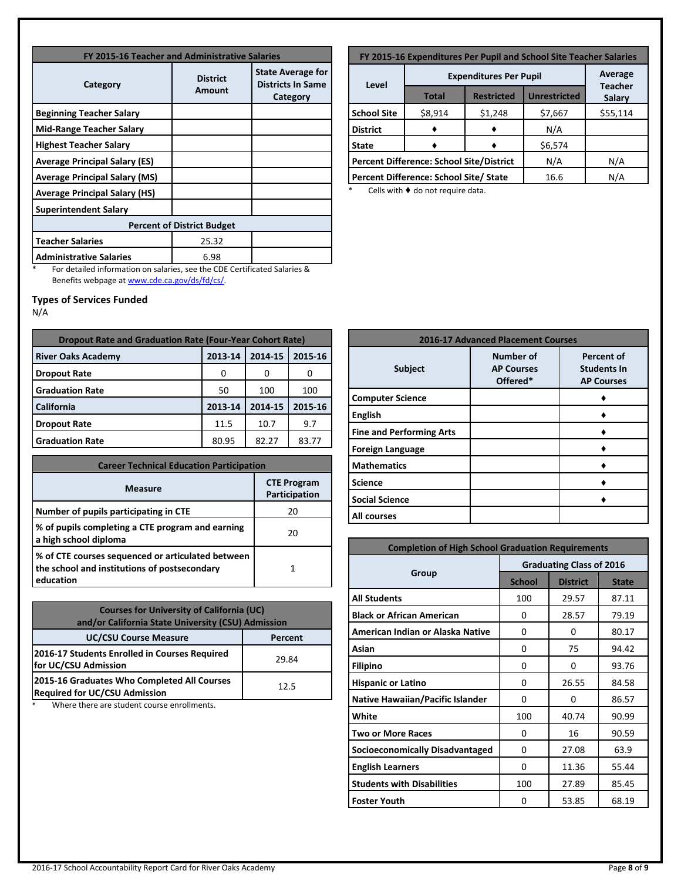| FY 2015-16 Teacher and Administrative Salaries |                           |                                                                  |  |  |  |  |
|------------------------------------------------|---------------------------|------------------------------------------------------------------|--|--|--|--|
| Category                                       | <b>District</b><br>Amount | <b>State Average for</b><br><b>Districts In Same</b><br>Category |  |  |  |  |
| <b>Beginning Teacher Salary</b>                |                           |                                                                  |  |  |  |  |
| <b>Mid-Range Teacher Salary</b>                |                           |                                                                  |  |  |  |  |
| <b>Highest Teacher Salary</b>                  |                           |                                                                  |  |  |  |  |
| <b>Average Principal Salary (ES)</b>           |                           |                                                                  |  |  |  |  |
| <b>Average Principal Salary (MS)</b>           |                           |                                                                  |  |  |  |  |
| <b>Average Principal Salary (HS)</b>           |                           |                                                                  |  |  |  |  |
| <b>Superintendent Salary</b>                   |                           |                                                                  |  |  |  |  |
| <b>Percent of District Budget</b>              |                           |                                                                  |  |  |  |  |
| <b>Teacher Salaries</b>                        | 25.32                     |                                                                  |  |  |  |  |
| <b>Administrative Salaries</b>                 | 6.98                      |                                                                  |  |  |  |  |

\* For detailed information on salaries, see the CDE Certificated Salaries & Benefits webpage a[t www.cde.ca.gov/ds/fd/cs/.](http://www.cde.ca.gov/ds/fd/cs/)

# **Types of Services Funded**

N/A

| <b>Dropout Rate and Graduation Rate (Four-Year Cohort Rate)</b> |         |         |         |  |  |
|-----------------------------------------------------------------|---------|---------|---------|--|--|
| <b>River Oaks Academy</b>                                       | 2013-14 | 2014-15 | 2015-16 |  |  |
| <b>Dropout Rate</b>                                             | O       | O       | O       |  |  |
| <b>Graduation Rate</b>                                          | 50      | 100     | 100     |  |  |
| <b>California</b>                                               | 2013-14 | 2014-15 | 2015-16 |  |  |
| <b>Dropout Rate</b>                                             | 11.5    | 10.7    | 9.7     |  |  |
| <b>Graduation Rate</b>                                          | 80.95   | 82.27   | 83.77   |  |  |

| <b>Career Technical Education Participation</b>                                                                |                                     |  |  |  |
|----------------------------------------------------------------------------------------------------------------|-------------------------------------|--|--|--|
| <b>Measure</b>                                                                                                 | <b>CTE Program</b><br>Participation |  |  |  |
| Number of pupils participating in CTE                                                                          | 20                                  |  |  |  |
| % of pupils completing a CTE program and earning<br>a high school diploma                                      | 20                                  |  |  |  |
| % of CTE courses sequenced or articulated between<br>the school and institutions of postsecondary<br>education | 1                                   |  |  |  |

| <b>Courses for University of California (UC)</b><br>and/or California State University (CSU) Admission |       |  |  |  |
|--------------------------------------------------------------------------------------------------------|-------|--|--|--|
| <b>UC/CSU Course Measure</b><br>Percent                                                                |       |  |  |  |
| 2016-17 Students Enrolled in Courses Required<br>for UC/CSU Admission                                  | 29.84 |  |  |  |
| 2015-16 Graduates Who Completed All Courses<br><b>Required for UC/CSU Admission</b>                    | 12.5  |  |  |  |

\* Where there are student course enrollments.

| FY 2015-16 Expenditures Per Pupil and School Site Teacher Salaries |                                                       |                               |                          |          |  |  |
|--------------------------------------------------------------------|-------------------------------------------------------|-------------------------------|--------------------------|----------|--|--|
|                                                                    |                                                       | <b>Expenditures Per Pupil</b> | Average                  |          |  |  |
| Level                                                              | <b>Total</b>                                          | <b>Restricted</b>             | <b>Teacher</b><br>Salary |          |  |  |
| <b>School Site</b>                                                 | \$8,914                                               | \$1,248                       | \$7,667                  | \$55,114 |  |  |
| <b>District</b>                                                    |                                                       |                               | N/A                      |          |  |  |
| <b>State</b>                                                       | \$6,574                                               |                               |                          |          |  |  |
|                                                                    | Percent Difference: School Site/District              | N/A                           | N/A                      |          |  |  |
|                                                                    | Percent Difference: School Site/ State<br>N/A<br>16.6 |                               |                          |          |  |  |

\* Cells with ♦ do not require data.

| <b>2016-17 Advanced Placement Courses</b> |                                                   |                                                              |  |  |  |
|-------------------------------------------|---------------------------------------------------|--------------------------------------------------------------|--|--|--|
| <b>Subject</b>                            | <b>Number of</b><br><b>AP Courses</b><br>Offered* | <b>Percent of</b><br><b>Students In</b><br><b>AP Courses</b> |  |  |  |
| <b>Computer Science</b>                   |                                                   |                                                              |  |  |  |
| <b>English</b>                            |                                                   |                                                              |  |  |  |
| <b>Fine and Performing Arts</b>           |                                                   |                                                              |  |  |  |
| <b>Foreign Language</b>                   |                                                   |                                                              |  |  |  |
| <b>Mathematics</b>                        |                                                   |                                                              |  |  |  |
| <b>Science</b>                            |                                                   |                                                              |  |  |  |
| <b>Social Science</b>                     |                                                   |                                                              |  |  |  |
| <b>All courses</b>                        |                                                   |                                                              |  |  |  |

| <b>Completion of High School Graduation Requirements</b> |                                 |                 |              |  |  |  |
|----------------------------------------------------------|---------------------------------|-----------------|--------------|--|--|--|
|                                                          | <b>Graduating Class of 2016</b> |                 |              |  |  |  |
| Group                                                    | <b>School</b>                   | <b>District</b> | <b>State</b> |  |  |  |
| <b>All Students</b>                                      | 100                             | 29.57           | 87.11        |  |  |  |
| <b>Black or African American</b>                         | 0                               | 28.57           | 79.19        |  |  |  |
| American Indian or Alaska Native                         | 0                               | 0               | 80.17        |  |  |  |
| Asian                                                    | 0                               | 75              | 94.42        |  |  |  |
| <b>Filipino</b>                                          | 0                               | 0               | 93.76        |  |  |  |
| <b>Hispanic or Latino</b>                                | 0                               | 26.55           | 84.58        |  |  |  |
| <b>Native Hawaiian/Pacific Islander</b>                  | O                               | O               | 86.57        |  |  |  |
| White                                                    | 100                             | 40.74           | 90.99        |  |  |  |
| <b>Two or More Races</b>                                 | 0                               | 16              | 90.59        |  |  |  |
| <b>Socioeconomically Disadvantaged</b>                   | 0                               | 27.08           | 63.9         |  |  |  |
| <b>English Learners</b>                                  | 0                               | 11.36           | 55.44        |  |  |  |
| <b>Students with Disabilities</b>                        | 100                             | 27.89           | 85.45        |  |  |  |
| <b>Foster Youth</b>                                      | O                               | 53.85           | 68.19        |  |  |  |